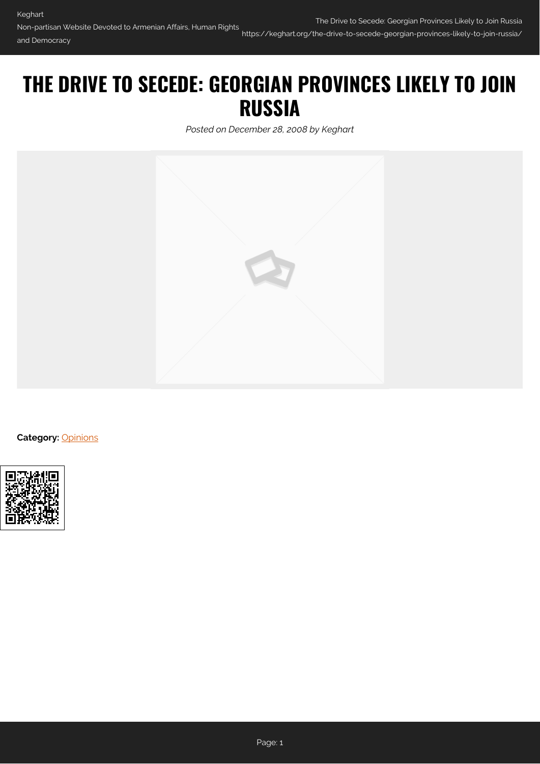## **THE DRIVE TO SECEDE: GEORGIAN PROVINCES LIKELY TO JOIN RUSSIA**

*Posted on December 28, 2008 by Keghart*



**Category:** [Opinions](https://keghart.org/category/opinions/)

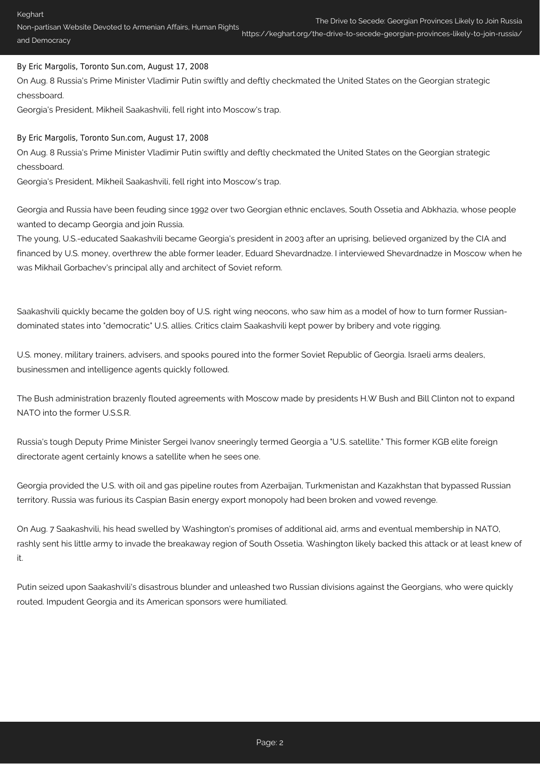## https://keghart.org/the-drive-to-secede-georgian-provinces-likely-to-join-russia/

## By Eric Margolis, Toronto Sun.com, August 17, 2008

On Aug. 8 Russia's Prime Minister Vladimir Putin swiftly and deftly checkmated the United States on the Georgian strategic chessboard.

Georgia's President, Mikheil Saakashvili, fell right into Moscow's trap.

## By Eric Margolis, Toronto Sun.com, August 17, 2008

On Aug. 8 Russia's Prime Minister Vladimir Putin swiftly and deftly checkmated the United States on the Georgian strategic chessboard.

Georgia's President, Mikheil Saakashvili, fell right into Moscow's trap.

Georgia and Russia have been feuding since 1992 over two Georgian ethnic enclaves, South Ossetia and Abkhazia, whose people wanted to decamp Georgia and join Russia.

The young, U.S.-educated Saakashvili became Georgia's president in 2003 after an uprising, believed organized by the CIA and financed by U.S. money, overthrew the able former leader, Eduard Shevardnadze. I interviewed Shevardnadze in Moscow when he was Mikhail Gorbachev's principal ally and architect of Soviet reform.

Saakashvili quickly became the golden boy of U.S. right wing neocons, who saw him as a model of how to turn former Russiandominated states into "democratic" U.S. allies. Critics claim Saakashvili kept power by bribery and vote rigging.

U.S. money, military trainers, advisers, and spooks poured into the former Soviet Republic of Georgia. Israeli arms dealers, businessmen and intelligence agents quickly followed.

The Bush administration brazenly flouted agreements with Moscow made by presidents H.W Bush and Bill Clinton not to expand NATO into the former U.S.S.R.

Russia's tough Deputy Prime Minister Sergei Ivanov sneeringly termed Georgia a "U.S. satellite." This former KGB elite foreign directorate agent certainly knows a satellite when he sees one.

Georgia provided the U.S. with oil and gas pipeline routes from Azerbaijan, Turkmenistan and Kazakhstan that bypassed Russian territory. Russia was furious its Caspian Basin energy export monopoly had been broken and vowed revenge.

On Aug. 7 Saakashvili, his head swelled by Washington's promises of additional aid, arms and eventual membership in NATO, rashly sent his little army to invade the breakaway region of South Ossetia. Washington likely backed this attack or at least knew of it.

Putin seized upon Saakashvili's disastrous blunder and unleashed two Russian divisions against the Georgians, who were quickly routed. Impudent Georgia and its American sponsors were humiliated.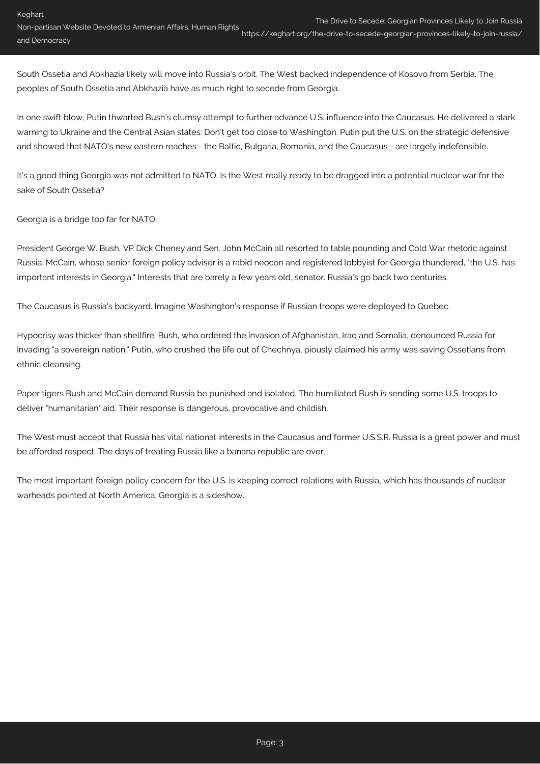South Ossetia and Abkhazia likely will move into Russia's orbit. The West backed independence of Kosovo from Serbia. The peoples of South Ossetia and Abkhazia have as much right to secede from Georgia.

In one swift blow, Putin thwarted Bush's clumsy attempt to further advance U.S. influence into the Caucasus. He delivered a stark warning to Ukraine and the Central Asian states: Don't get too close to Washington. Putin put the U.S. on the strategic defensive and showed that NATO's new eastern reaches - the Baltic, Bulgaria, Romania, and the Caucasus - are largely indefensible.

It's a good thing Georgia was not admitted to NATO. Is the West really ready to be dragged into a potential nuclear war for the sake of South Ossetia?

Georgia is a bridge too far for NATO.

President George W. Bush, VP Dick Cheney and Sen. John McCain all resorted to table pounding and Cold War rhetoric against Russia. McCain, whose senior foreign policy adviser is a rabid neocon and registered lobbyist for Georgia thundered, "the U.S. has important interests in Georgia." Interests that are barely a few years old, senator. Russia's go back two centuries.

The Caucasus is Russia's backyard. Imagine Washington's response if Russian troops were deployed to Quebec.

Hypocrisy was thicker than shellfire. Bush, who ordered the invasion of Afghanistan, Iraq and Somalia, denounced Russia for invading "a sovereign nation." Putin, who crushed the life out of Chechnya, piously claimed his army was saving Ossetians from ethnic cleansing.

Paper tigers Bush and McCain demand Russia be punished and isolated. The humiliated Bush is sending some U.S. troops to deliver "humanitarian" aid. Their response is dangerous, provocative and childish.

The West must accept that Russia has vital national interests in the Caucasus and former U.S.S.R. Russia is a great power and must be afforded respect. The days of treating Russia like a banana republic are over.

The most important foreign policy concern for the U.S. is keeping correct relations with Russia, which has thousands of nuclear warheads pointed at North America. Georgia is a sideshow.